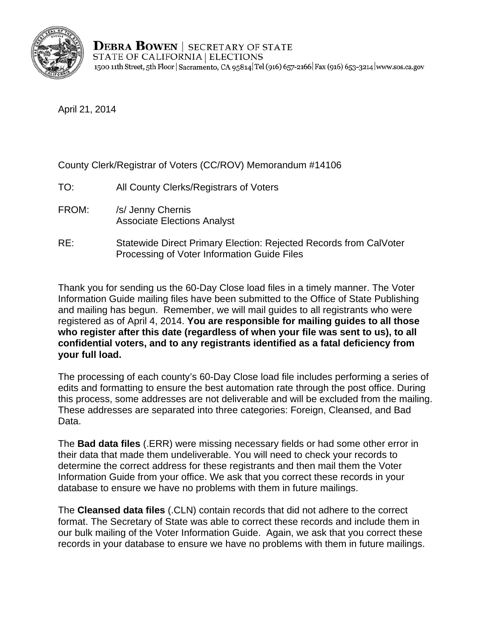

April 21, 2014

County Clerk/Registrar of Voters (CC/ROV) Memorandum #14106

- TO: All County Clerks/Registrars of Voters
- FROM: /s/ Jenny Chernis Associate Elections Analyst
- RE: Statewide Direct Primary Election: Rejected Records from CalVoter Processing of Voter Information Guide Files

Thank you for sending us the 60-Day Close load files in a timely manner. The Voter Information Guide mailing files have been submitted to the Office of State Publishing and mailing has begun. Remember, we will mail guides to all registrants who were registered as of April 4, 2014. **You are responsible for mailing guides to all those who register after this date (regardless of when your file was sent to us), to all confidential voters, and to any registrants identified as a fatal deficiency from your full load.** 

The processing of each county's 60-Day Close load file includes performing a series of edits and formatting to ensure the best automation rate through the post office. During this process, some addresses are not deliverable and will be excluded from the mailing. These addresses are separated into three categories: Foreign, Cleansed, and Bad Data.

The **Bad data files** (.ERR) were missing necessary fields or had some other error in their data that made them undeliverable. You will need to check your records to determine the correct address for these registrants and then mail them the Voter Information Guide from your office. We ask that you correct these records in your database to ensure we have no problems with them in future mailings.

The **Cleansed data files** (.CLN) contain records that did not adhere to the correct format. The Secretary of State was able to correct these records and include them in our bulk mailing of the Voter Information Guide. Again, we ask that you correct these records in your database to ensure we have no problems with them in future mailings.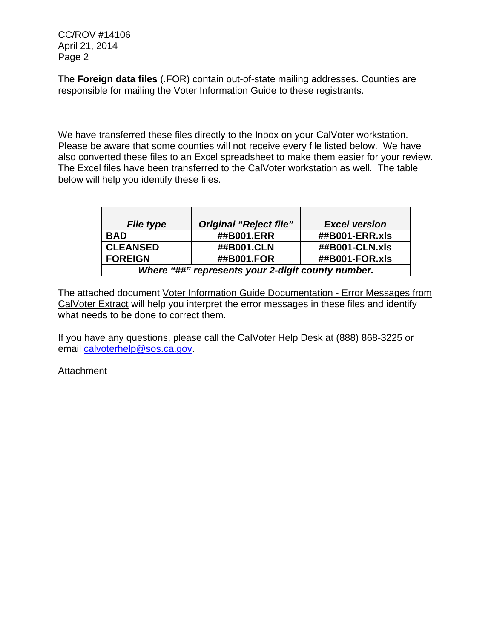CC/ROV #14106 April 21, 2014 Page 2

The **Foreign data files** (.FOR) contain out-of-state mailing addresses. Counties are responsible for mailing the Voter Information Guide to these registrants.

We have transferred these files directly to the Inbox on your CalVoter workstation. Please be aware that some counties will not receive every file listed below. We have also converted these files to an Excel spreadsheet to make them easier for your review. The Excel files have been transferred to the CalVoter workstation as well. The table below will help you identify these files.

| <b>File type</b>                                  | <b>Original "Reject file"</b> | <b>Excel version</b> |
|---------------------------------------------------|-------------------------------|----------------------|
| <b>BAD</b>                                        | ##B001.ERR                    | ##B001-ERR.xls       |
| <b>CLEANSED</b>                                   | ##B001.CLN                    | ##B001-CLN.xls       |
| <b>FOREIGN</b>                                    | ##B001.FOR                    | ##B001-FOR.xls       |
| Where "##" represents your 2-digit county number. |                               |                      |

The attached document Voter Information Guide Documentation - Error Messages from CalVoter Extract will help you interpret the error messages in these files and identify what needs to be done to correct them.

If you have any questions, please call the CalVoter Help Desk at (888) 868-3225 or email calvoterhelp@sos.ca.gov.

Attachment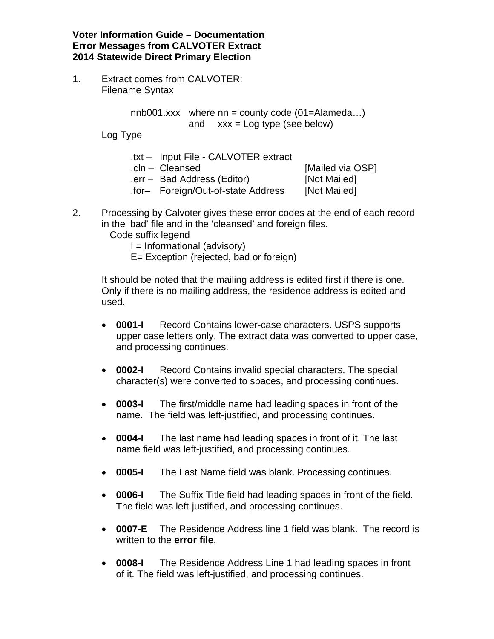**Voter Information Guide – Documentation Error Messages from CALVOTER Extract 2014 Statewide Direct Primary Election** 

1. Extract comes from CALVOTER: Filename Syntax

> nnb001.xxx where  $nn =$  county code (01=Alameda...) and  $xxx = Log$  type (see below)

Log Type

- .txt Input File CALVOTER extract
- 

.cln – Cleansed [Mailed via OSP] .err – Bad Address (Editor) [Not Mailed] .for– Foreign/Out-of-state Address [Not Mailed]

- 2. Processing by Calvoter gives these error codes at the end of each record in the 'bad' file and in the 'cleansed' and foreign files.
	- Code suffix legend
		- I = Informational (advisory)
		- E= Exception (rejected, bad or foreign)

It should be noted that the mailing address is edited first if there is one. Only if there is no mailing address, the residence address is edited and used.

- **0001-I** Record Contains lower-case characters. USPS supports upper case letters only. The extract data was converted to upper case, and processing continues.
- **0002-I** Record Contains invalid special characters. The special character(s) were converted to spaces, and processing continues.
- **0003-I** The first/middle name had leading spaces in front of the name. The field was left-justified, and processing continues.
- **0004-I** The last name had leading spaces in front of it. The last name field was left-justified, and processing continues.
- **0005-I** The Last Name field was blank. Processing continues.
- **0006-I** The Suffix Title field had leading spaces in front of the field. The field was left-justified, and processing continues.
- **0007-E** The Residence Address line 1 field was blank. The record is written to the **error file**.
- **0008-I** The Residence Address Line 1 had leading spaces in front of it. The field was left-justified, and processing continues.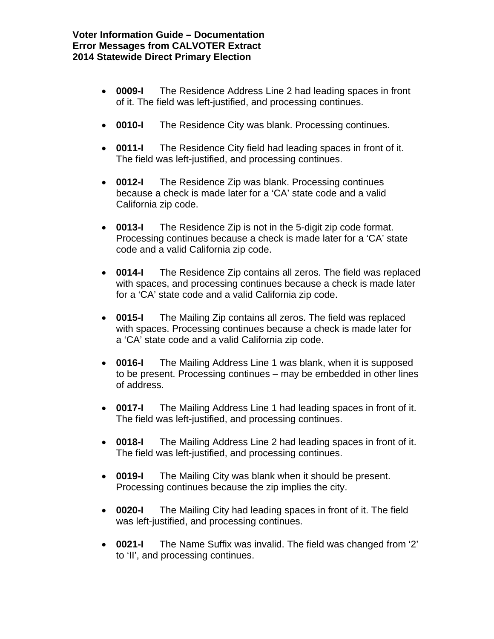- **0009-I** The Residence Address Line 2 had leading spaces in front of it. The field was left-justified, and processing continues.
- **0010-I** The Residence City was blank. Processing continues.
- **0011-I** The Residence City field had leading spaces in front of it. The field was left-justified, and processing continues.
- **0012-I** The Residence Zip was blank. Processing continues because a check is made later for a 'CA' state code and a valid California zip code.
- **0013-I** The Residence Zip is not in the 5-digit zip code format. Processing continues because a check is made later for a 'CA' state code and a valid California zip code.
- **0014-I** The Residence Zip contains all zeros. The field was replaced with spaces, and processing continues because a check is made later for a 'CA' state code and a valid California zip code.
- **0015-I** The Mailing Zip contains all zeros. The field was replaced with spaces. Processing continues because a check is made later for a 'CA' state code and a valid California zip code.
- **0016-I** The Mailing Address Line 1 was blank, when it is supposed to be present. Processing continues – may be embedded in other lines of address.
- **0017-I** The Mailing Address Line 1 had leading spaces in front of it. The field was left-justified, and processing continues.
- **0018-I** The Mailing Address Line 2 had leading spaces in front of it. The field was left-justified, and processing continues.
- **0019-I** The Mailing City was blank when it should be present. Processing continues because the zip implies the city.
- **0020-I** The Mailing City had leading spaces in front of it. The field was left-justified, and processing continues.
- **0021-I** The Name Suffix was invalid. The field was changed from '2' to 'II', and processing continues.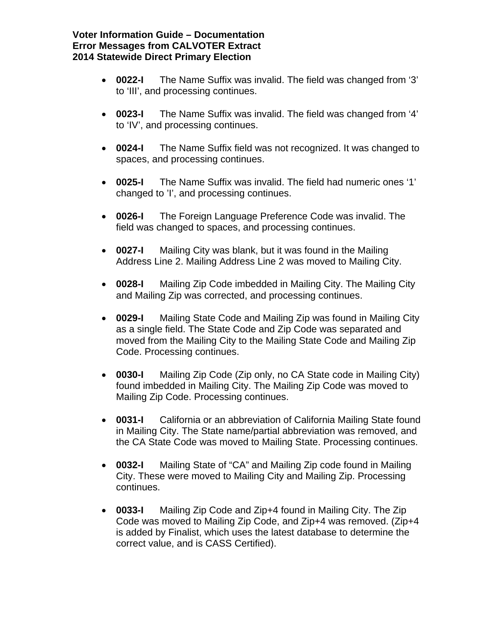## **Voter Information Guide – Documentation Error Messages from CALVOTER Extract 2014 Statewide Direct Primary Election**

- **0022-I** The Name Suffix was invalid. The field was changed from '3' to 'III', and processing continues.
- **0023-I** The Name Suffix was invalid. The field was changed from '4' to 'IV', and processing continues.
- **0024-I** The Name Suffix field was not recognized. It was changed to spaces, and processing continues.
- **0025-I** The Name Suffix was invalid. The field had numeric ones '1' changed to 'I', and processing continues.
- **0026-I** The Foreign Language Preference Code was invalid. The field was changed to spaces, and processing continues.
- **0027-I** Mailing City was blank, but it was found in the Mailing Address Line 2. Mailing Address Line 2 was moved to Mailing City.
- **0028-I** Mailing Zip Code imbedded in Mailing City. The Mailing City and Mailing Zip was corrected, and processing continues.
- **0029-I** Mailing State Code and Mailing Zip was found in Mailing City as a single field. The State Code and Zip Code was separated and moved from the Mailing City to the Mailing State Code and Mailing Zip Code. Processing continues.
- **0030-I** Mailing Zip Code (Zip only, no CA State code in Mailing City) found imbedded in Mailing City. The Mailing Zip Code was moved to Mailing Zip Code. Processing continues.
- **0031-I** California or an abbreviation of California Mailing State found in Mailing City. The State name/partial abbreviation was removed, and the CA State Code was moved to Mailing State. Processing continues.
- **0032-I** Mailing State of "CA" and Mailing Zip code found in Mailing City. These were moved to Mailing City and Mailing Zip. Processing continues.
- **0033-I** Mailing Zip Code and Zip+4 found in Mailing City. The Zip Code was moved to Mailing Zip Code, and Zip+4 was removed. (Zip+4 is added by Finalist, which uses the latest database to determine the correct value, and is CASS Certified).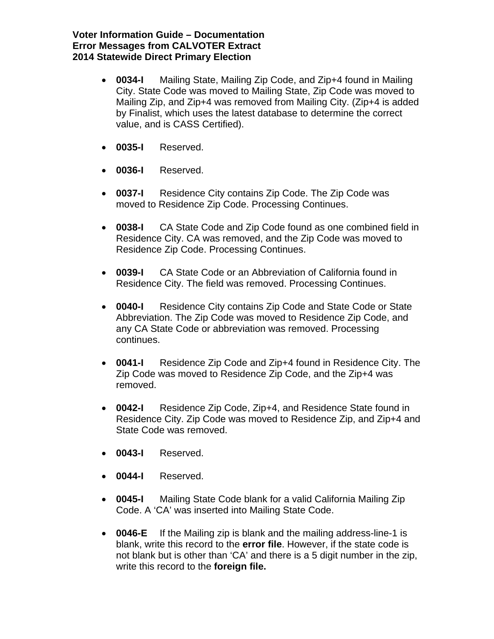## **Voter Information Guide – Documentation Error Messages from CALVOTER Extract 2014 Statewide Direct Primary Election**

- **0034-I** Mailing State, Mailing Zip Code, and Zip+4 found in Mailing City. State Code was moved to Mailing State, Zip Code was moved to Mailing Zip, and Zip+4 was removed from Mailing City. (Zip+4 is added by Finalist, which uses the latest database to determine the correct value, and is CASS Certified).
- **0035-I** Reserved.
- **0036-I** Reserved.
- **0037-I** Residence City contains Zip Code. The Zip Code was moved to Residence Zip Code. Processing Continues.
- **0038-I** CA State Code and Zip Code found as one combined field in Residence City. CA was removed, and the Zip Code was moved to Residence Zip Code. Processing Continues.
- **0039-I** CA State Code or an Abbreviation of California found in Residence City. The field was removed. Processing Continues.
- **0040-I** Residence City contains Zip Code and State Code or State Abbreviation. The Zip Code was moved to Residence Zip Code, and any CA State Code or abbreviation was removed. Processing continues.
- **0041-I** Residence Zip Code and Zip+4 found in Residence City. The Zip Code was moved to Residence Zip Code, and the Zip+4 was removed.
- **0042-I** Residence Zip Code, Zip+4, and Residence State found in Residence City. Zip Code was moved to Residence Zip, and Zip+4 and State Code was removed.
- **0043-I** Reserved.
- **0044-I** Reserved.
- **0045-I** Mailing State Code blank for a valid California Mailing Zip Code. A 'CA' was inserted into Mailing State Code.
- **0046-E** If the Mailing zip is blank and the mailing address-line-1 is blank, write this record to the **error file**. However, if the state code is not blank but is other than 'CA' and there is a 5 digit number in the zip, write this record to the **foreign file.**